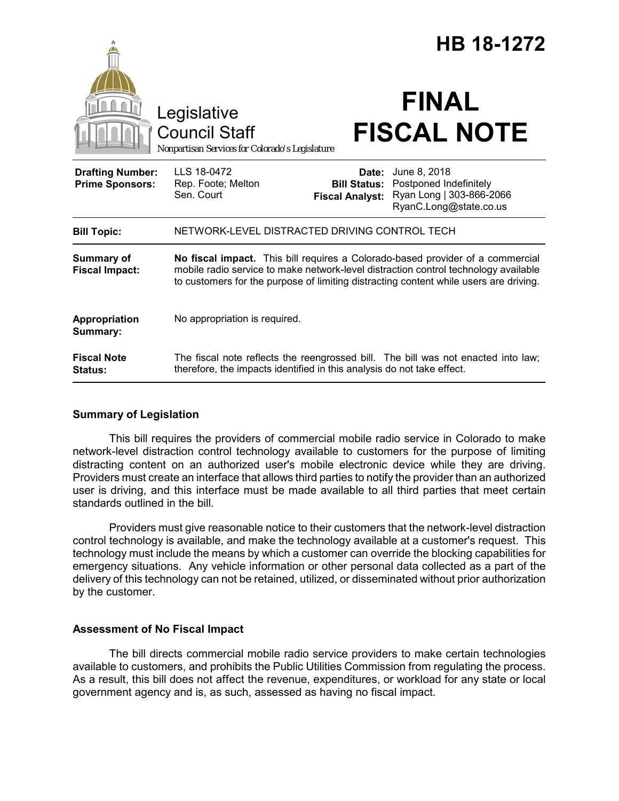|                                                   |                                                                                                                                                                                                                                                                |                                                        | HB 18-1272                                                                                   |  |
|---------------------------------------------------|----------------------------------------------------------------------------------------------------------------------------------------------------------------------------------------------------------------------------------------------------------------|--------------------------------------------------------|----------------------------------------------------------------------------------------------|--|
| Legislative                                       |                                                                                                                                                                                                                                                                |                                                        | <b>FINAL</b>                                                                                 |  |
|                                                   | <b>Council Staff</b><br>Nonpartisan Services for Colorado's Legislature                                                                                                                                                                                        |                                                        | <b>FISCAL NOTE</b>                                                                           |  |
| <b>Drafting Number:</b><br><b>Prime Sponsors:</b> | LLS 18-0472<br>Rep. Foote; Melton<br>Sen. Court                                                                                                                                                                                                                | Date:<br><b>Bill Status:</b><br><b>Fiscal Analyst:</b> | June 8, 2018<br>Postponed Indefinitely<br>Ryan Long   303-866-2066<br>RyanC.Long@state.co.us |  |
| <b>Bill Topic:</b>                                | NETWORK-LEVEL DISTRACTED DRIVING CONTROL TECH                                                                                                                                                                                                                  |                                                        |                                                                                              |  |
| <b>Summary of</b><br><b>Fiscal Impact:</b>        | No fiscal impact. This bill requires a Colorado-based provider of a commercial<br>mobile radio service to make network-level distraction control technology available<br>to customers for the purpose of limiting distracting content while users are driving. |                                                        |                                                                                              |  |
| Appropriation<br>Summary:                         | No appropriation is required.                                                                                                                                                                                                                                  |                                                        |                                                                                              |  |
| <b>Fiscal Note</b><br>Status:                     | The fiscal note reflects the reengrossed bill. The bill was not enacted into law;<br>therefore, the impacts identified in this analysis do not take effect.                                                                                                    |                                                        |                                                                                              |  |

## **Summary of Legislation**

This bill requires the providers of commercial mobile radio service in Colorado to make network-level distraction control technology available to customers for the purpose of limiting distracting content on an authorized user's mobile electronic device while they are driving. Providers must create an interface that allows third parties to notify the provider than an authorized user is driving, and this interface must be made available to all third parties that meet certain standards outlined in the bill.

Providers must give reasonable notice to their customers that the network-level distraction control technology is available, and make the technology available at a customer's request. This technology must include the means by which a customer can override the blocking capabilities for emergency situations. Any vehicle information or other personal data collected as a part of the delivery of this technology can not be retained, utilized, or disseminated without prior authorization by the customer.

## **Assessment of No Fiscal Impact**

The bill directs commercial mobile radio service providers to make certain technologies available to customers, and prohibits the Public Utilities Commission from regulating the process. As a result, this bill does not affect the revenue, expenditures, or workload for any state or local government agency and is, as such, assessed as having no fiscal impact.